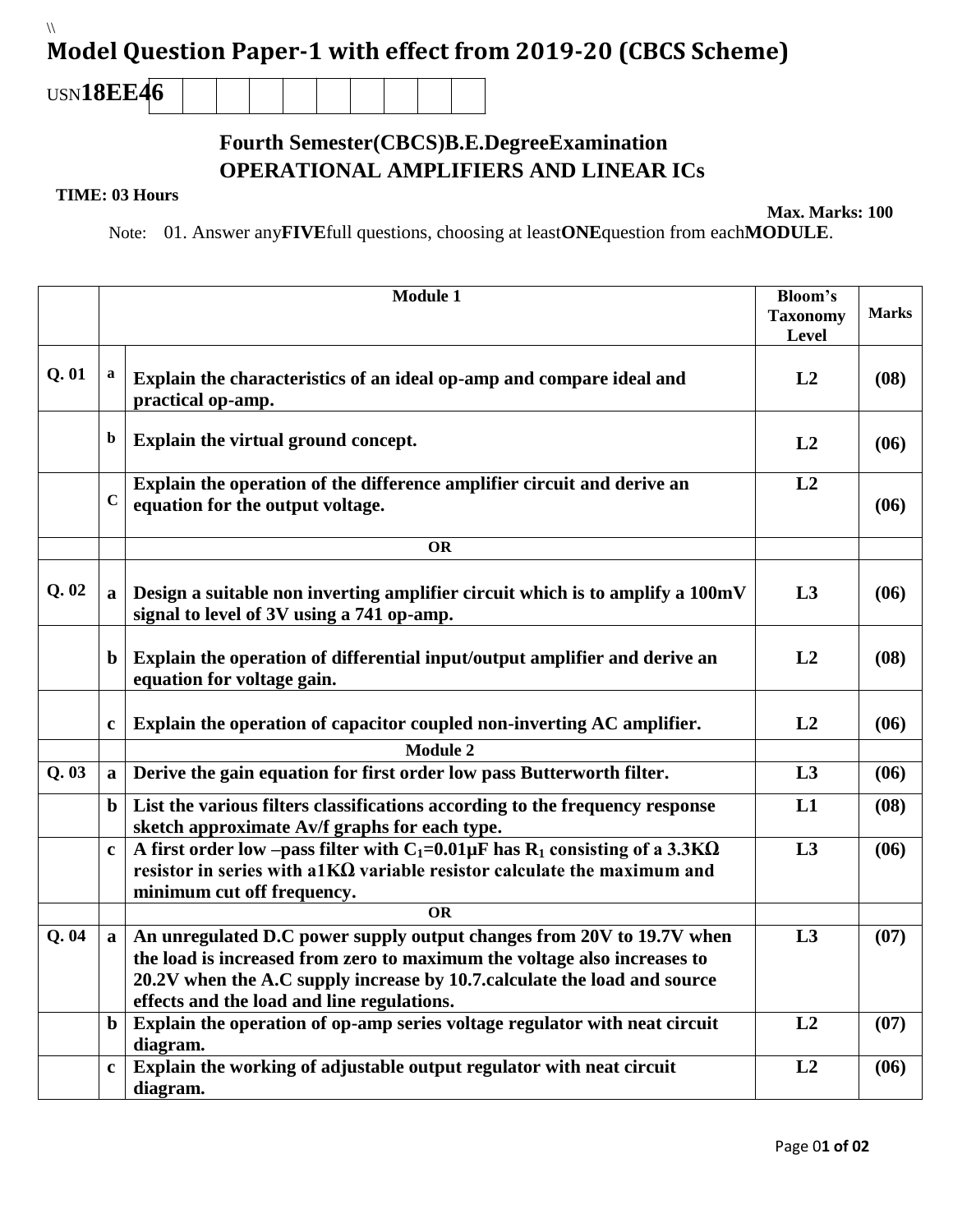## $\sqrt{2}$ **Model Question Paper-1 with effect from 2019-20 (CBCS Scheme)**

USN**18EE46**

## **Fourth Semester(CBCS)B.E.DegreeExamination OPERATIONAL AMPLIFIERS AND LINEAR ICs**

## **TIME: 03 Hours**

**Max. Marks: 100**

Note: 01. Answer any**FIVE**full questions, choosing at least**ONE**question from each**MODULE**.

|      |              | <b>Module 1</b>                                                                                                                                                                                                                                                             | <b>Bloom's</b>  |              |
|------|--------------|-----------------------------------------------------------------------------------------------------------------------------------------------------------------------------------------------------------------------------------------------------------------------------|-----------------|--------------|
|      |              |                                                                                                                                                                                                                                                                             | <b>Taxonomy</b> | <b>Marks</b> |
|      |              |                                                                                                                                                                                                                                                                             | Level           |              |
| Q.01 | $\mathbf a$  | Explain the characteristics of an ideal op-amp and compare ideal and<br>practical op-amp.                                                                                                                                                                                   | L2              | (08)         |
|      | $\mathbf b$  | Explain the virtual ground concept.                                                                                                                                                                                                                                         | L2              | (06)         |
|      | $\mathbf C$  | Explain the operation of the difference amplifier circuit and derive an<br>equation for the output voltage.                                                                                                                                                                 | L2              | (06)         |
|      |              | <b>OR</b>                                                                                                                                                                                                                                                                   |                 |              |
| Q.02 | $\mathbf a$  | Design a suitable non inverting amplifier circuit which is to amplify a 100mV<br>signal to level of 3V using a 741 op-amp.                                                                                                                                                  | L3              | (06)         |
|      | $\mathbf b$  | Explain the operation of differential input/output amplifier and derive an<br>equation for voltage gain.                                                                                                                                                                    | L2              | (08)         |
|      | $\mathbf c$  | Explain the operation of capacitor coupled non-inverting AC amplifier.                                                                                                                                                                                                      | L2              | (06)         |
|      |              | <b>Module 2</b>                                                                                                                                                                                                                                                             |                 |              |
| Q.03 | $\mathbf{a}$ | Derive the gain equation for first order low pass Butterworth filter.                                                                                                                                                                                                       | L3              | (06)         |
|      | $\mathbf b$  | List the various filters classifications according to the frequency response<br>sketch approximate Av/f graphs for each type.                                                                                                                                               | L1              | (08)         |
|      | $\mathbf c$  | A first order low -pass filter with $C_1=0.01\mu$ F has R <sub>1</sub> consisting of a 3.3K $\Omega$<br>resistor in series with a1KΩ variable resistor calculate the maximum and<br>minimum cut off frequency.                                                              | L3              | (06)         |
|      |              | $\overline{\text{OR}}$                                                                                                                                                                                                                                                      |                 |              |
| Q.04 | a            | An unregulated D.C power supply output changes from 20V to 19.7V when<br>the load is increased from zero to maximum the voltage also increases to<br>20.2V when the A.C supply increase by 10.7 calculate the load and source<br>effects and the load and line regulations. | L3              | (07)         |
|      | $\mathbf b$  | Explain the operation of op-amp series voltage regulator with neat circuit<br>diagram.                                                                                                                                                                                      | L2              | (07)         |
|      | $\mathbf c$  | Explain the working of adjustable output regulator with neat circuit<br>diagram.                                                                                                                                                                                            | L2              | (06)         |